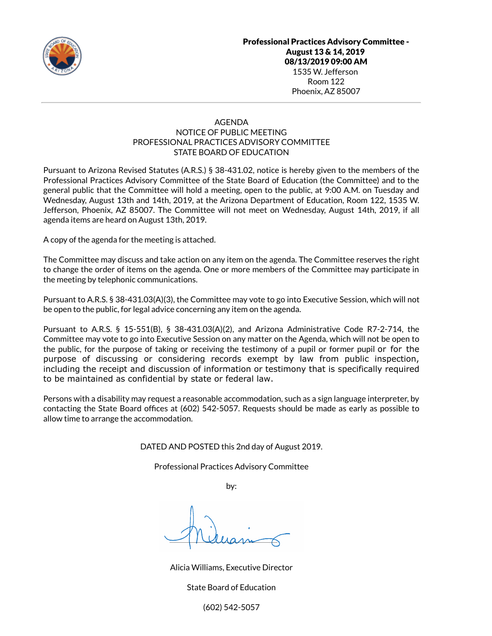

### AGENDA NOTICE OF PUBLIC MEETING PROFESSIONAL PRACTICES ADVISORY COMMITTEE STATE BOARD OF EDUCATION

Pursuant to Arizona Revised Statutes (A.R.S.) § 38-431.02, notice is hereby given to the members of the Professional Practices Advisory Committee of the State Board of Education (the Committee) and to the general public that the Committee will hold a meeting, open to the public, at 9:00 A.M. on Tuesday and Wednesday, August 13th and 14th, 2019, at the Arizona Department of Education, Room 122, 1535 W. Jefferson, Phoenix, AZ 85007. The Committee will not meet on Wednesday, August 14th, 2019, if all agenda items are heard on August 13th, 2019.

A copy of the agenda for the meeting is attached.

The Committee may discuss and take action on any item on the agenda. The Committee reserves the right to change the order of items on the agenda. One or more members of the Committee may participate in the meeting by telephonic communications.

Pursuant to A.R.S. § 38-431.03(A)(3), the Committee may vote to go into Executive Session, which will not be open to the public, for legal advice concerning any item on the agenda.

Pursuant to A.R.S. § 15-551(B), § 38-431.03(A)(2), and Arizona Administrative Code R7-2-714, the Committee may vote to go into Executive Session on any matter on the Agenda, which will not be open to the public, for the purpose of taking or receiving the testimony of a pupil or former pupil or for the purpose of discussing or considering records exempt by law from public inspection, including the receipt and discussion of information or testimony that is specifically required to be maintained as confidential by state or federal law.

Persons with a disability may request a reasonable accommodation, such as a sign language interpreter, by contacting the State Board offices at (602) 542-5057. Requests should be made as early as possible to allow time to arrange the accommodation.

#### DATED AND POSTED this 2nd day of August 2019.

Professional Practices Advisory Committee

by:

Alicia Williams, Executive Director

State Board of Education

(602) 542-5057